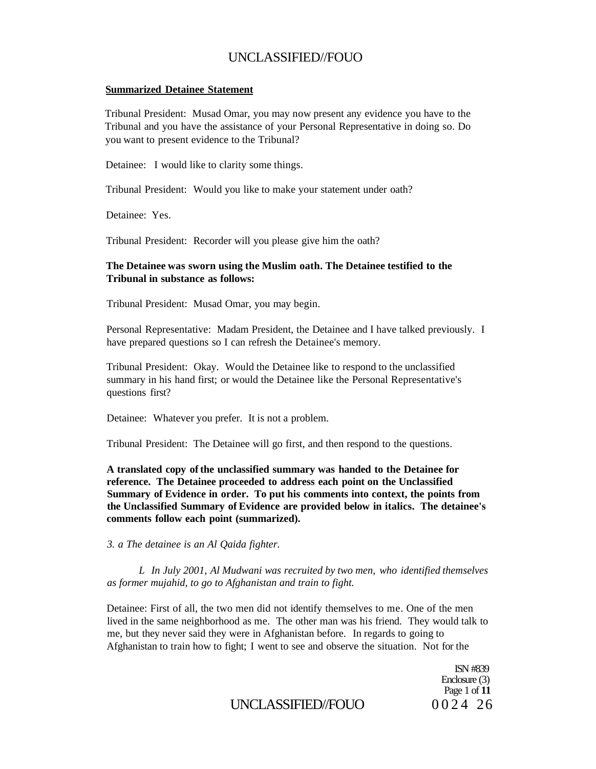#### **Summarized Detainee Statement**

Tribunal President: Musad Omar, you may now present any evidence you have to the Tribunal and you have the assistance of your Personal Representative in doing so. Do you want to present evidence to the Tribunal?

Detainee: I would like to clarity some things.

Tribunal President: Would you like to make your statement under oath?

Detainee: Yes.

Tribunal President: Recorder will you please give him the oath?

#### **The Detainee was sworn using the Muslim oath. The Detainee testified to the Tribunal in substance as follows:**

Tribunal President: Musad Omar, you may begin.

Personal Representative: Madam President, the Detainee and I have talked previously. I have prepared questions so I can refresh the Detainee's memory.

Tribunal President: Okay. Would the Detainee like to respond to the unclassified summary in his hand first; or would the Detainee like the Personal Representative's questions first?

Detainee: Whatever you prefer. It is not a problem.

Tribunal President: The Detainee will go first, and then respond to the questions.

**A translated copy of the unclassified summary was handed to the Detainee for reference. The Detainee proceeded to address each point on the Unclassified Summary of Evidence in order. To put his comments into context, the points from the Unclassified Summary of Evidence are provided below in italics. The detainee's comments follow each point (summarized).** 

*3. a The detainee is an Al Qaida fighter.* 

*L In July 2001, Al Mudwani was recruited by two men, who identified themselves as former mujahid, to go to Afghanistan and train to fight.* 

Detainee: First of all, the two men did not identify themselves to me. One of the men lived in the same neighborhood as me. The other man was his friend. They would talk to me, but they never said they were in Afghanistan before. In regards to going to Afghanistan to train how to fight; I went to see and observe the situation. Not for the

> ISN #839 Enclosure (3) Page 1 of **11**

# UNCLASSIFIED//FOUO 0024 26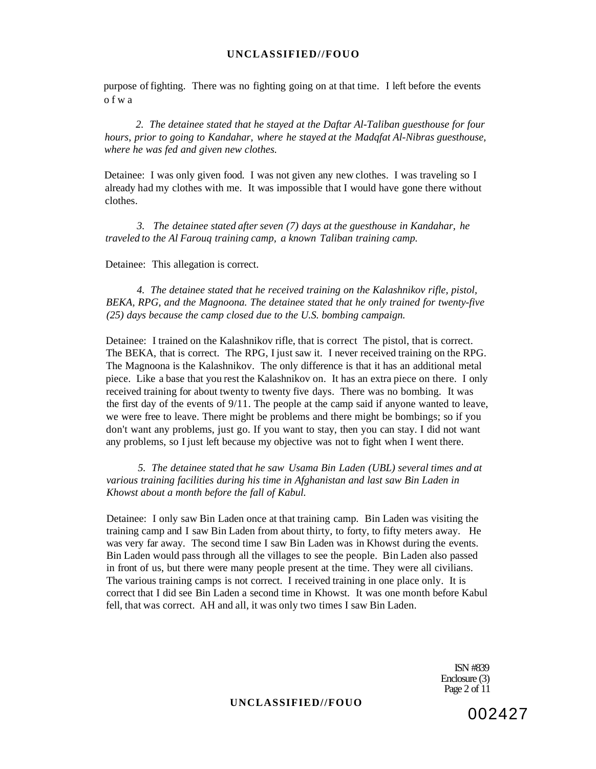purpose of fighting. There was no fighting going on at that time. I left before the events ofw a

*2. The detainee stated that he stayed at the Daftar Al-Taliban guesthouse for four hours, prior to going to Kandahar, where he stayed at the Madqfat Al-Nibras guesthouse, where he was fed and given new clothes.* 

Detainee: I was only given food. I was not given any new clothes. I was traveling so I already had my clothes with me. It was impossible that I would have gone there without clothes.

*3. The detainee stated after seven (7) days at the guesthouse in Kandahar, he traveled to the Al Farouq training camp, a known Taliban training camp.* 

Detainee: This allegation is correct.

*4. The detainee stated that he received training on the Kalashnikov rifle, pistol, BEKA, RPG, and the Magnoona. The detainee stated that he only trained for twenty-five (25) days because the camp closed due to the U.S. bombing campaign.* 

Detainee: I trained on the Kalashnikov rifle, that is correct The pistol, that is correct. The BEKA, that is correct. The RPG, I just saw it. I never received training on the RPG. The Magnoona is the Kalashnikov. The only difference is that it has an additional metal piece. Like a base that you rest the Kalashnikov on. It has an extra piece on there. I only received training for about twenty to twenty five days. There was no bombing. It was the first day of the events of 9/11. The people at the camp said if anyone wanted to leave, we were free to leave. There might be problems and there might be bombings; so if you don't want any problems, just go. If you want to stay, then you can stay. I did not want any problems, so I just left because my objective was not to fight when I went there.

*5. The detainee stated that he saw Usama Bin Laden (UBL) several times and at various training facilities during his time in Afghanistan and last saw Bin Laden in Khowst about a month before the fall of Kabul.* 

Detainee: I only saw Bin Laden once at that training camp. Bin Laden was visiting the training camp and I saw Bin Laden from about thirty, to forty, to fifty meters away. He was very far away. The second time I saw Bin Laden was in Khowst during the events. Bin Laden would pass through all the villages to see the people. Bin Laden also passed in front of us, but there were many people present at the time. They were all civilians. The various training camps is not correct. I received training in one place only. It is correct that I did see Bin Laden a second time in Khowst. It was one month before Kabul fell, that was correct. AH and all, it was only two times I saw Bin Laden.

> ISN #839 Enclosure (3) Page 2 of 11

#### **UNCLASSIFIED//FOUO**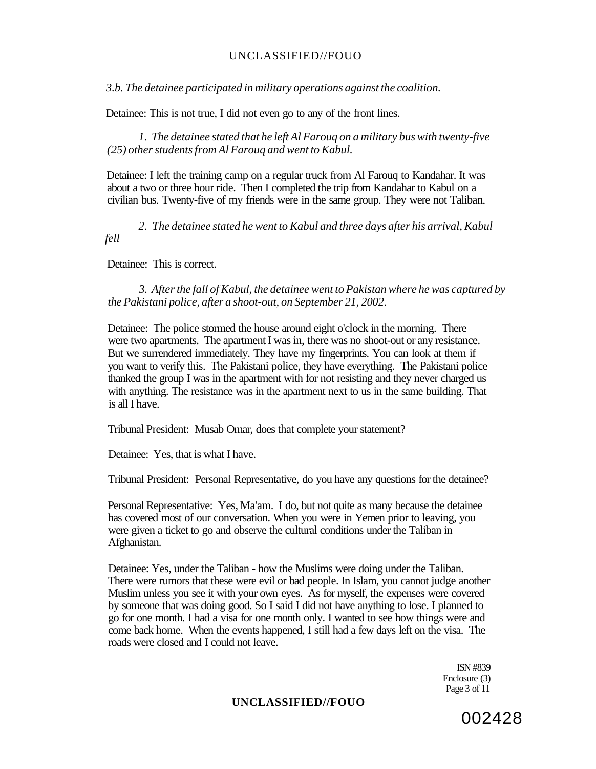*3.b. The detainee participated in military operations against the coalition.* 

Detainee: This is not true, I did not even go to any of the front lines.

*1. The detainee stated that he left Al Farouq on a military bus with twenty-five (25) other students from Al Farouq and went to Kabul.* 

Detainee: I left the training camp on a regular truck from Al Farouq to Kandahar. It was about a two or three hour ride. Then I completed the trip from Kandahar to Kabul on a civilian bus. Twenty-five of my friends were in the same group. They were not Taliban.

*2. The detainee stated he went to Kabul and three days after his arrival, Kabul fell* 

Detainee: This is correct.

*3. After the fall of Kabul, the detainee went to Pakistan where he was captured by the Pakistani police, after a shoot-out, on September 21, 2002.* 

Detainee: The police stormed the house around eight o'clock in the morning. There were two apartments. The apartment I was in, there was no shoot-out or any resistance. But we surrendered immediately. They have my fingerprints. You can look at them if you want to verify this. The Pakistani police, they have everything. The Pakistani police thanked the group I was in the apartment with for not resisting and they never charged us with anything. The resistance was in the apartment next to us in the same building. That is all I have.

Tribunal President: Musab Omar, does that complete your statement?

Detainee: Yes, that is what I have.

Tribunal President: Personal Representative, do you have any questions for the detainee?

Personal Representative: Yes, Ma'am. I do, but not quite as many because the detainee has covered most of our conversation. When you were in Yemen prior to leaving, you were given a ticket to go and observe the cultural conditions under the Taliban in Afghanistan.

Detainee: Yes, under the Taliban - how the Muslims were doing under the Taliban. There were rumors that these were evil or bad people. In Islam, you cannot judge another Muslim unless you see it with your own eyes. As for myself, the expenses were covered by someone that was doing good. So I said I did not have anything to lose. I planned to go for one month. I had a visa for one month only. I wanted to see how things were and come back home. When the events happened, I still had a few days left on the visa. The roads were closed and I could not leave.

> ISN #839 Enclosure (3) Page 3 of 11

## **UNCLASSIFIED//FOUO**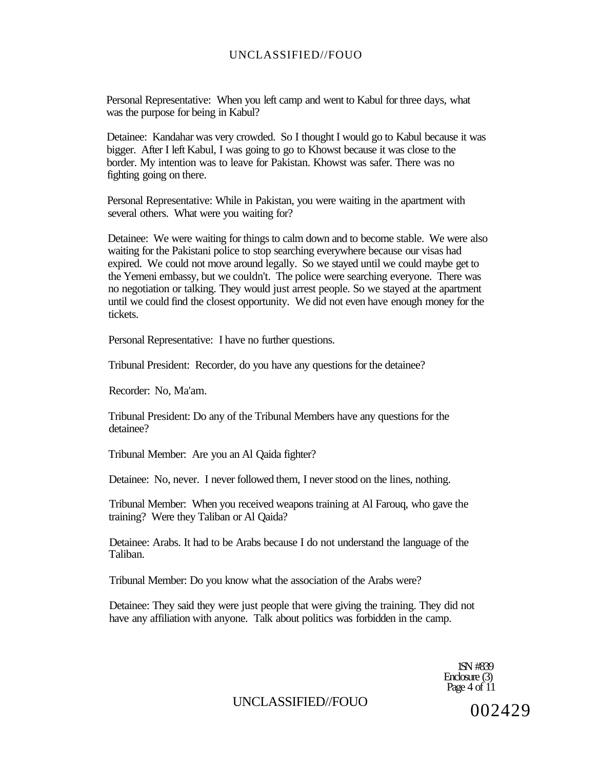Personal Representative: When you left camp and went to Kabul for three days, what was the purpose for being in Kabul?

Detainee: Kandahar was very crowded. So I thought I would go to Kabul because it was bigger. After I left Kabul, I was going to go to Khowst because it was close to the border. My intention was to leave for Pakistan. Khowst was safer. There was no fighting going on there.

Personal Representative: While in Pakistan, you were waiting in the apartment with several others. What were you waiting for?

Detainee: We were waiting for things to calm down and to become stable. We were also waiting for the Pakistani police to stop searching everywhere because our visas had expired. We could not move around legally. So we stayed until we could maybe get to the Yemeni embassy, but we couldn't. The police were searching everyone. There was no negotiation or talking. They would just arrest people. So we stayed at the apartment until we could find the closest opportunity. We did not even have enough money for the tickets.

Personal Representative: I have no further questions.

Tribunal President: Recorder, do you have any questions for the detainee?

Recorder: No, Ma'am.

Tribunal President: Do any of the Tribunal Members have any questions for the detainee?

Tribunal Member: Are you an Al Qaida fighter?

Detainee: No, never. I never followed them, I never stood on the lines, nothing.

Tribunal Member: When you received weapons training at Al Farouq, who gave the training? Were they Taliban or Al Qaida?

Detainee: Arabs. It had to be Arabs because I do not understand the language of the Taliban.

Tribunal Member: Do you know what the association of the Arabs were?

Detainee: They said they were just people that were giving the training. They did not have any affiliation with anyone. Talk about politics was forbidden in the camp.

> 1SN #839 Enclosure (3) Page 4 of 11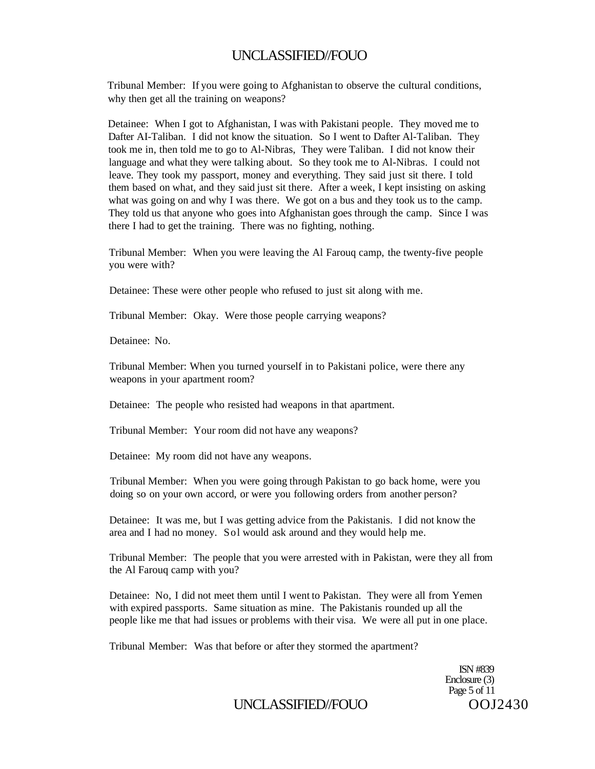Tribunal Member: If you were going to Afghanistan to observe the cultural conditions, why then get all the training on weapons?

Detainee: When I got to Afghanistan, I was with Pakistani people. They moved me to Dafter AI-Taliban. I did not know the situation. So I went to Dafter Al-Taliban. They took me in, then told me to go to Al-Nibras, They were Taliban. I did not know their language and what they were talking about. So they took me to Al-Nibras. I could not leave. They took my passport, money and everything. They said just sit there. I told them based on what, and they said just sit there. After a week, I kept insisting on asking what was going on and why I was there. We got on a bus and they took us to the camp. They told us that anyone who goes into Afghanistan goes through the camp. Since I was there I had to get the training. There was no fighting, nothing.

Tribunal Member: When you were leaving the Al Farouq camp, the twenty-five people you were with?

Detainee: These were other people who refused to just sit along with me.

Tribunal Member: Okay. Were those people carrying weapons?

Detainee: No.

Tribunal Member: When you turned yourself in to Pakistani police, were there any weapons in your apartment room?

Detainee: The people who resisted had weapons in that apartment.

Tribunal Member: Your room did not have any weapons?

Detainee: My room did not have any weapons.

Tribunal Member: When you were going through Pakistan to go back home, were you doing so on your own accord, or were you following orders from another person?

Detainee: It was me, but I was getting advice from the Pakistanis. I did not know the area and I had no money. Sol would ask around and they would help me.

Tribunal Member: The people that you were arrested with in Pakistan, were they all from the Al Farouq camp with you?

Detainee: No, I did not meet them until I went to Pakistan. They were all from Yemen with expired passports. Same situation as mine. The Pakistanis rounded up all the people like me that had issues or problems with their visa. We were all put in one place.

Tribunal Member: Was that before or after they stormed the apartment?

ISN #839 Enclosure (3) Page 5 of 11

# UNCLASSIFIED//FOUO 00J2430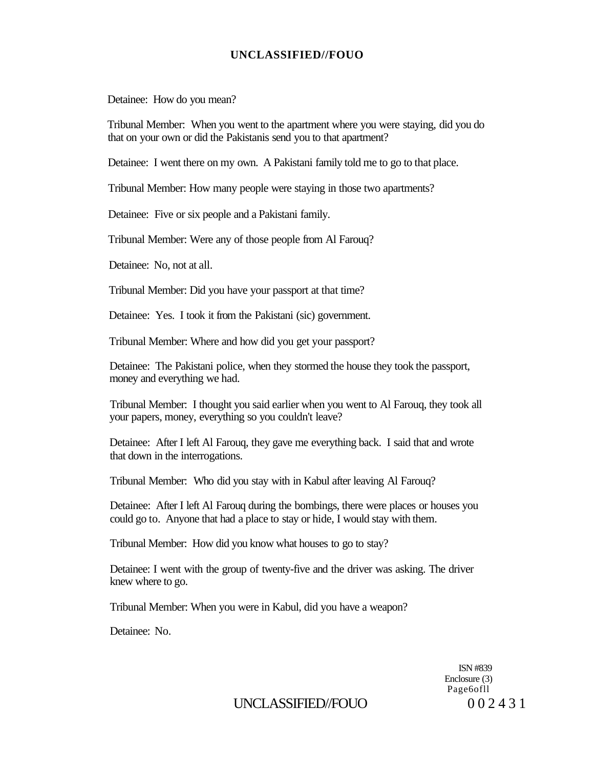Detainee: How do you mean?

Tribunal Member: When you went to the apartment where you were staying, did you do that on your own or did the Pakistanis send you to that apartment?

Detainee: I went there on my own. A Pakistani family told me to go to that place.

Tribunal Member: How many people were staying in those two apartments?

Detainee: Five or six people and a Pakistani family.

Tribunal Member: Were any of those people from Al Farouq?

Detainee: No, not at all.

Tribunal Member: Did you have your passport at that time?

Detainee: Yes. I took it from the Pakistani (sic) government.

Tribunal Member: Where and how did you get your passport?

Detainee: The Pakistani police, when they stormed the house they took the passport, money and everything we had.

Tribunal Member: I thought you said earlier when you went to Al Farouq, they took all your papers, money, everything so you couldn't leave?

Detainee: After I left Al Farouq, they gave me everything back. I said that and wrote that down in the interrogations.

Tribunal Member: Who did you stay with in Kabul after leaving Al Farouq?

Detainee: After I left Al Farouq during the bombings, there were places or houses you could go to. Anyone that had a place to stay or hide, I would stay with them.

Tribunal Member: How did you know what houses to go to stay?

Detainee: I went with the group of twenty-five and the driver was asking. The driver knew where to go.

Tribunal Member: When you were in Kabul, did you have a weapon?

Detainee: No.

ISN #839 Enclosure (3) Page6ofll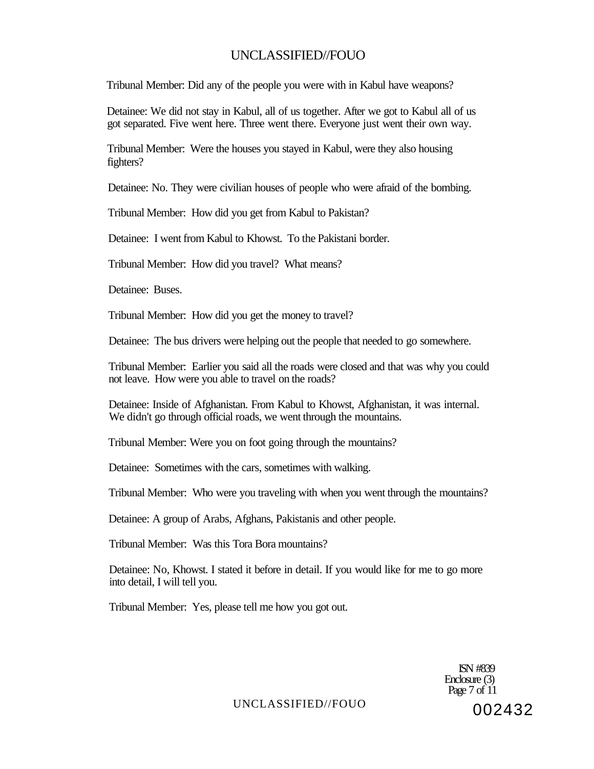Tribunal Member: Did any of the people you were with in Kabul have weapons?

Detainee: We did not stay in Kabul, all of us together. After we got to Kabul all of us got separated. Five went here. Three went there. Everyone just went their own way.

Tribunal Member: Were the houses you stayed in Kabul, were they also housing fighters?

Detainee: No. They were civilian houses of people who were afraid of the bombing.

Tribunal Member: How did you get from Kabul to Pakistan?

Detainee: I went from Kabul to Khowst. To the Pakistani border.

Tribunal Member: How did you travel? What means?

Detainee: Buses.

Tribunal Member: How did you get the money to travel?

Detainee: The bus drivers were helping out the people that needed to go somewhere.

Tribunal Member: Earlier you said all the roads were closed and that was why you could not leave. How were you able to travel on the roads?

Detainee: Inside of Afghanistan. From Kabul to Khowst, Afghanistan, it was internal. We didn't go through official roads, we went through the mountains.

Tribunal Member: Were you on foot going through the mountains?

Detainee: Sometimes with the cars, sometimes with walking.

Tribunal Member: Who were you traveling with when you went through the mountains?

Detainee: A group of Arabs, Afghans, Pakistanis and other people.

Tribunal Member: Was this Tora Bora mountains?

Detainee: No, Khowst. I stated it before in detail. If you would like for me to go more into detail, I will tell you.

Tribunal Member: Yes, please tell me how you got out.

ISN #839 Enclosure (3) Page 7 of 11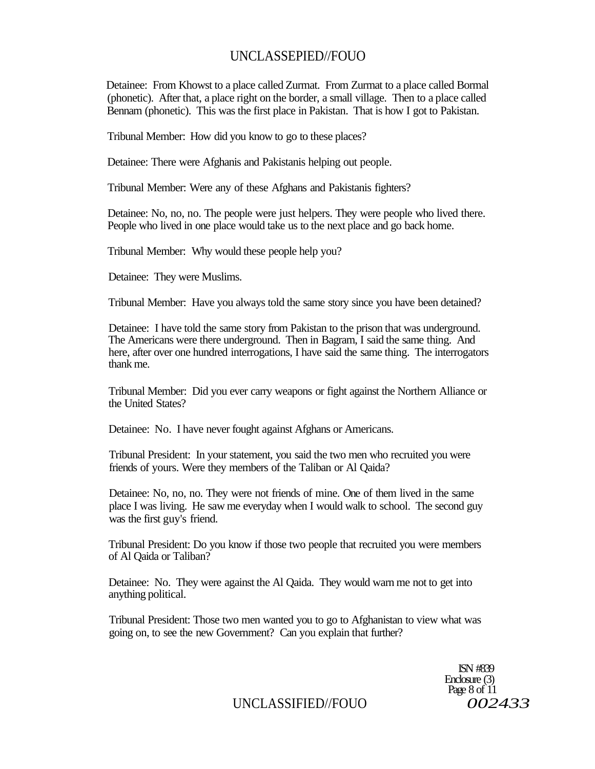# UNCLASSEPIED//FOUO

Detainee: From Khowst to a place called Zurmat. From Zurmat to a place called Bormal (phonetic). After that, a place right on the border, a small village. Then to a place called Bennam (phonetic). This was the first place in Pakistan. That is how I got to Pakistan.

Tribunal Member: How did you know to go to these places?

Detainee: There were Afghanis and Pakistanis helping out people.

Tribunal Member: Were any of these Afghans and Pakistanis fighters?

Detainee: No, no, no. The people were just helpers. They were people who lived there. People who lived in one place would take us to the next place and go back home.

Tribunal Member: Why would these people help you?

Detainee: They were Muslims.

Tribunal Member: Have you always told the same story since you have been detained?

Detainee: I have told the same story from Pakistan to the prison that was underground. The Americans were there underground. Then in Bagram, I said the same thing. And here, after over one hundred interrogations, I have said the same thing. The interrogators thank me.

Tribunal Member: Did you ever carry weapons or fight against the Northern Alliance or the United States?

Detainee: No. I have never fought against Afghans or Americans.

Tribunal President: In your statement, you said the two men who recruited you were friends of yours. Were they members of the Taliban or Al Qaida?

Detainee: No, no, no. They were not friends of mine. One of them lived in the same place I was living. He saw me everyday when I would walk to school. The second guy was the first guy's friend.

Tribunal President: Do you know if those two people that recruited you were members of Al Qaida or Taliban?

Detainee: No. They were against the Al Qaida. They would warn me not to get into anything political.

Tribunal President: Those two men wanted you to go to Afghanistan to view what was going on, to see the new Government? Can you explain that further?

> ISN #839 Enclosure (3) Page 8 of 11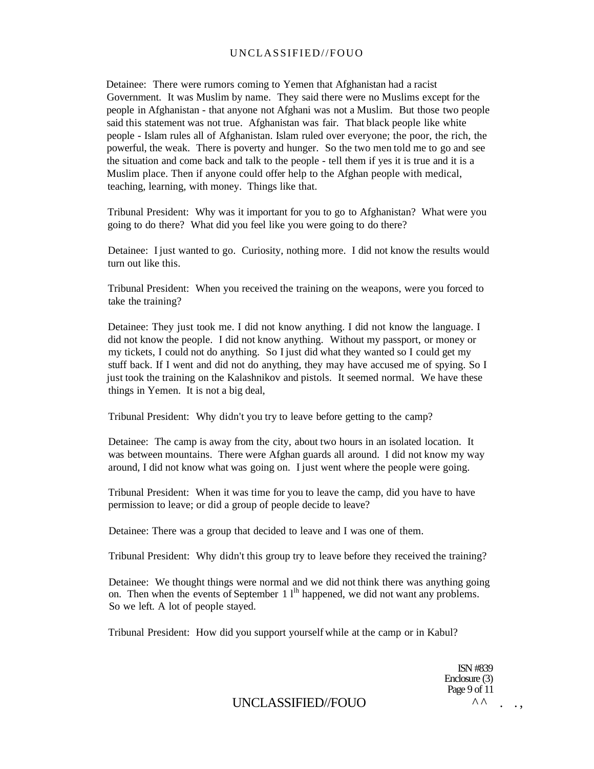Detainee: There were rumors coming to Yemen that Afghanistan had a racist Government. It was Muslim by name. They said there were no Muslims except for the people in Afghanistan - that anyone not Afghani was not a Muslim. But those two people said this statement was not true. Afghanistan was fair. That black people like white people - Islam rules all of Afghanistan. Islam ruled over everyone; the poor, the rich, the powerful, the weak. There is poverty and hunger. So the two men told me to go and see the situation and come back and talk to the people - tell them if yes it is true and it is a Muslim place. Then if anyone could offer help to the Afghan people with medical, teaching, learning, with money. Things like that.

Tribunal President: Why was it important for you to go to Afghanistan? What were you going to do there? What did you feel like you were going to do there?

Detainee: I just wanted to go. Curiosity, nothing more. I did not know the results would turn out like this.

Tribunal President: When you received the training on the weapons, were you forced to take the training?

Detainee: They just took me. I did not know anything. I did not know the language. I did not know the people. I did not know anything. Without my passport, or money or my tickets, I could not do anything. So I just did what they wanted so I could get my stuff back. If I went and did not do anything, they may have accused me of spying. So I just took the training on the Kalashnikov and pistols. It seemed normal. We have these things in Yemen. It is not a big deal,

Tribunal President: Why didn't you try to leave before getting to the camp?

Detainee: The camp is away from the city, about two hours in an isolated location. It was between mountains. There were Afghan guards all around. I did not know my way around, I did not know what was going on. I just went where the people were going.

Tribunal President: When it was time for you to leave the camp, did you have to have permission to leave; or did a group of people decide to leave?

Detainee: There was a group that decided to leave and I was one of them.

Tribunal President: Why didn't this group try to leave before they received the training?

Detainee: We thought things were normal and we did not think there was anything going on. Then when the events of September  $1 \, 1^{\text{lh}}$  happened, we did not want any problems. So we left. A lot of people stayed.

Tribunal President: How did you support yourself while at the camp or in Kabul?

ISN #839 Enclosure (3) Page 9 of 11  $\wedge \wedge$  ...

## UNCLASSIFIED//FOUO ^ ^ . . ,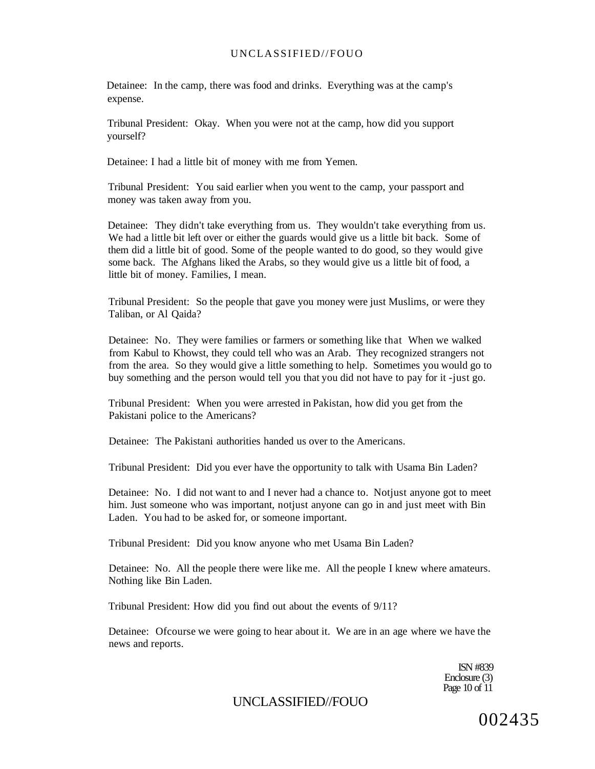Detainee: In the camp, there was food and drinks. Everything was at the camp's expense.

Tribunal President: Okay. When you were not at the camp, how did you support yourself?

Detainee: I had a little bit of money with me from Yemen.

Tribunal President: You said earlier when you went to the camp, your passport and money was taken away from you.

Detainee: They didn't take everything from us. They wouldn't take everything from us. We had a little bit left over or either the guards would give us a little bit back. Some of them did a little bit of good. Some of the people wanted to do good, so they would give some back. The Afghans liked the Arabs, so they would give us a little bit of food, a little bit of money. Families, I mean.

Tribunal President: So the people that gave you money were just Muslims, or were they Taliban, or Al Qaida?

Detainee: No. They were families or farmers or something like that When we walked from Kabul to Khowst, they could tell who was an Arab. They recognized strangers not from the area. So they would give a little something to help. Sometimes you would go to buy something and the person would tell you that you did not have to pay for it -just go.

Tribunal President: When you were arrested in Pakistan, how did you get from the Pakistani police to the Americans?

Detainee: The Pakistani authorities handed us over to the Americans.

Tribunal President: Did you ever have the opportunity to talk with Usama Bin Laden?

Detainee: No. I did not want to and I never had a chance to. Notjust anyone got to meet him. Just someone who was important, notjust anyone can go in and just meet with Bin Laden. You had to be asked for, or someone important.

Tribunal President: Did you know anyone who met Usama Bin Laden?

Detainee: No. All the people there were like me. All the people I knew where amateurs. Nothing like Bin Laden.

Tribunal President: How did you find out about the events of 9/11?

Detainee: Ofcourse we were going to hear about it. We are in an age where we have the news and reports.

> ISN #839 Enclosure (3) Page 10 of 11

UNCLASSIFIED//FOUO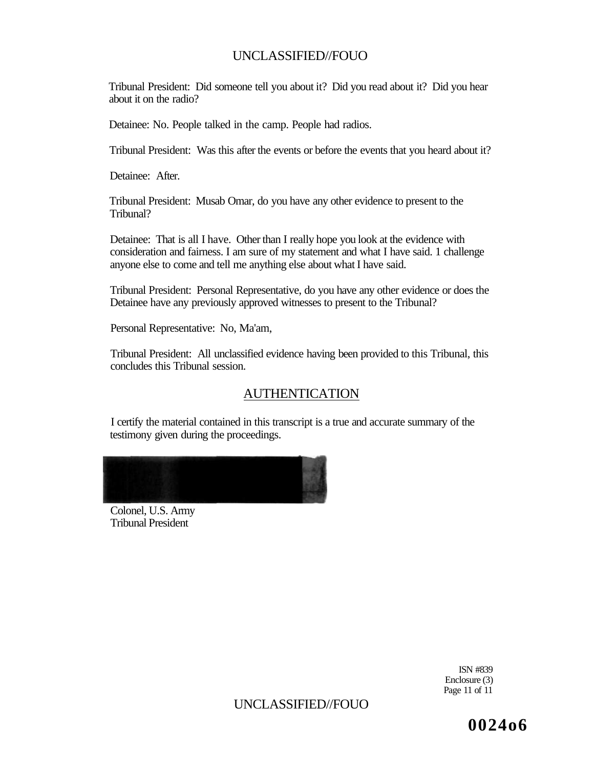Tribunal President: Did someone tell you about it? Did you read about it? Did you hear about it on the radio?

Detainee: No. People talked in the camp. People had radios.

Tribunal President: Was this after the events or before the events that you heard about it?

Detainee: After.

Tribunal President: Musab Omar, do you have any other evidence to present to the Tribunal?

Detainee: That is all I have. Other than I really hope you look at the evidence with consideration and fairness. I am sure of my statement and what I have said. 1 challenge anyone else to come and tell me anything else about what I have said.

Tribunal President: Personal Representative, do you have any other evidence or does the Detainee have any previously approved witnesses to present to the Tribunal?

Personal Representative: No, Ma'am,

Tribunal President: All unclassified evidence having been provided to this Tribunal, this concludes this Tribunal session.

# AUTHENTICATION

I certify the material contained in this transcript is a true and accurate summary of the testimony given during the proceedings.



Colonel, U.S. Army Tribunal President

> ISN #839 Enclosure (3) Page 11 of 11

UNCLASSIFIED//FOUO

**0024o6**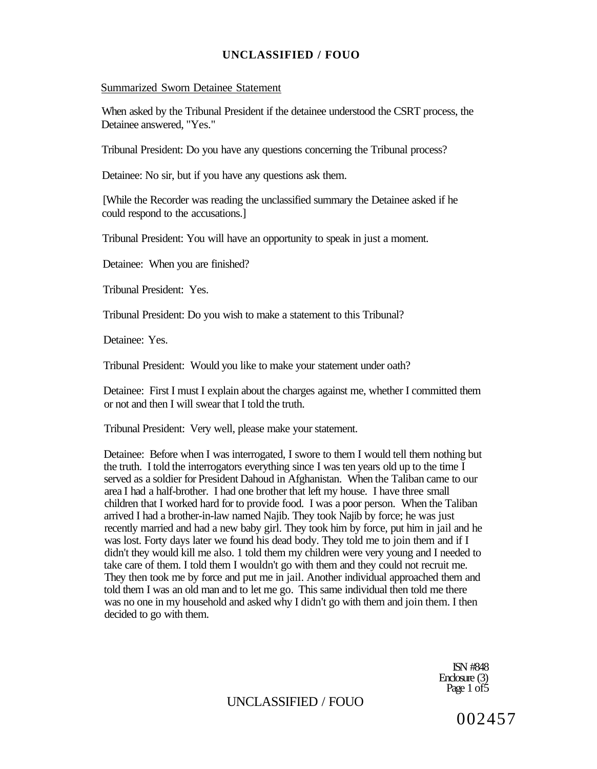#### Summarized Sworn Detainee Statement

When asked by the Tribunal President if the detainee understood the CSRT process, the Detainee answered, "Yes."

Tribunal President: Do you have any questions concerning the Tribunal process?

Detainee: No sir, but if you have any questions ask them.

[While the Recorder was reading the unclassified summary the Detainee asked if he could respond to the accusations.]

Tribunal President: You will have an opportunity to speak in just a moment.

Detainee: When you are finished?

Tribunal President: Yes.

Tribunal President: Do you wish to make a statement to this Tribunal?

Detainee: Yes.

Tribunal President: Would you like to make your statement under oath?

Detainee: First I must I explain about the charges against me, whether I committed them or not and then I will swear that I told the truth.

Tribunal President: Very well, please make your statement.

Detainee: Before when I was interrogated, I swore to them I would tell them nothing but the truth. I told the interrogators everything since I was ten years old up to the time I served as a soldier for President Dahoud in Afghanistan. When the Taliban came to our area I had a half-brother. I had one brother that left my house. I have three small children that I worked hard for to provide food. I was a poor person. When the Taliban arrived I had a brother-in-law named Najib. They took Najib by force; he was just recently married and had a new baby girl. They took him by force, put him in jail and he was lost. Forty days later we found his dead body. They told me to join them and if I didn't they would kill me also. 1 told them my children were very young and I needed to take care of them. I told them I wouldn't go with them and they could not recruit me. They then took me by force and put me in jail. Another individual approached them and told them I was an old man and to let me go. This same individual then told me there was no one in my household and asked why I didn't go with them and join them. I then decided to go with them.

> ISN #848 Enclosure (3) Page 1 of5

UNCLASSIFIED / FOUO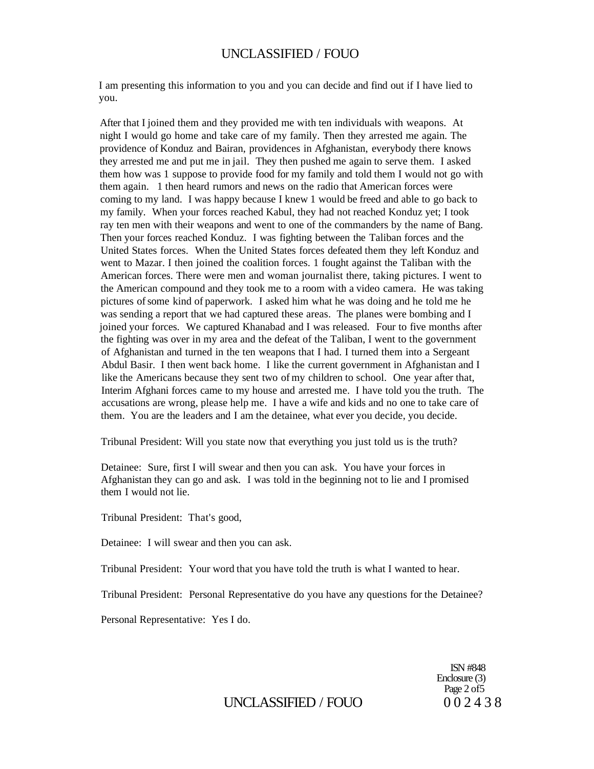I am presenting this information to you and you can decide and find out if I have lied to you.

After that I joined them and they provided me with ten individuals with weapons. At night I would go home and take care of my family. Then they arrested me again. The providence of Konduz and Bairan, providences in Afghanistan, everybody there knows they arrested me and put me in jail. They then pushed me again to serve them. I asked them how was 1 suppose to provide food for my family and told them I would not go with them again. 1 then heard rumors and news on the radio that American forces were coming to my land. I was happy because I knew 1 would be freed and able to go back to my family. When your forces reached Kabul, they had not reached Konduz yet; I took ray ten men with their weapons and went to one of the commanders by the name of Bang. Then your forces reached Konduz. I was fighting between the Taliban forces and the United States forces. When the United States forces defeated them they left Konduz and went to Mazar. I then joined the coalition forces. 1 fought against the Taliban with the American forces. There were men and woman journalist there, taking pictures. I went to the American compound and they took me to a room with a video camera. He was taking pictures of some kind of paperwork. I asked him what he was doing and he told me he was sending a report that we had captured these areas. The planes were bombing and I joined your forces. We captured Khanabad and I was released. Four to five months after the fighting was over in my area and the defeat of the Taliban, I went to the government of Afghanistan and turned in the ten weapons that I had. I turned them into a Sergeant Abdul Basir. I then went back home. I like the current government in Afghanistan and I like the Americans because they sent two of my children to school. One year after that, Interim Afghani forces came to my house and arrested me. I have told you the truth. The accusations are wrong, please help me. I have a wife and kids and no one to take care of them. You are the leaders and I am the detainee, what ever you decide, you decide.

Tribunal President: Will you state now that everything you just told us is the truth?

Detainee: Sure, first I will swear and then you can ask. You have your forces in Afghanistan they can go and ask. I was told in the beginning not to lie and I promised them I would not lie.

Tribunal President: That's good,

Detainee: I will swear and then you can ask.

Tribunal President: Your word that you have told the truth is what I wanted to hear.

Tribunal President: Personal Representative do you have any questions for the Detainee?

Personal Representative: Yes I do.

ISN #848 Enclosure (3) Page 2 of 5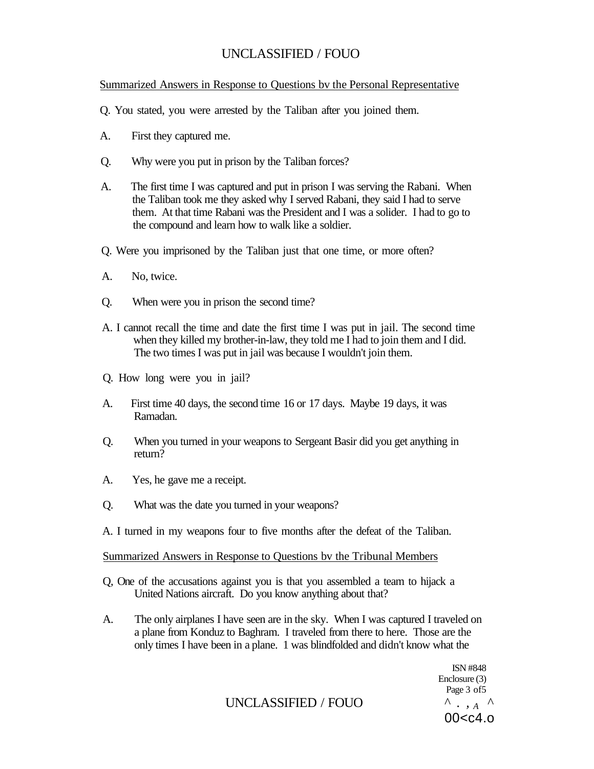Summarized Answers in Response to Questions bv the Personal Representative

- Q. You stated, you were arrested by the Taliban after you joined them.
- A. First they captured me.
- Q. Why were you put in prison by the Taliban forces?
- A. The first time I was captured and put in prison I was serving the Rabani. When the Taliban took me they asked why I served Rabani, they said I had to serve them. At that time Rabani was the President and I was a solider. I had to go to the compound and learn how to walk like a soldier.
- Q. Were you imprisoned by the Taliban just that one time, or more often?
- A. No, twice.
- Q. When were you in prison the second time?
- A. I cannot recall the time and date the first time I was put in jail. The second time when they killed my brother-in-law, they told me I had to join them and I did. The two times I was put in jail was because I wouldn't join them.
- Q. How long were you in jail?
- A. First time 40 days, the second time 16 or 17 days. Maybe 19 days, it was Ramadan.
- Q. When you turned in your weapons to Sergeant Basir did you get anything in return?
- A. Yes, he gave me a receipt.
- Q. What was the date you turned in your weapons?
- A. I turned in my weapons four to five months after the defeat of the Taliban.

#### Summarized Answers in Response to Questions bv the Tribunal Members

- Q, One of the accusations against you is that you assembled a team to hijack a United Nations aircraft. Do you know anything about that?
- A. The only airplanes I have seen are in the sky. When I was captured I traveled on a plane from Konduz to Baghram. I traveled from there to here. Those are the only times I have been in a plane. 1 was blindfolded and didn't know what the

UNCLASSIFIED / FOUO  $\Lambda$ ,  $\Lambda$ 

ISN #848 Enclosure (3) Page 3 of 5  $00 < c4.0$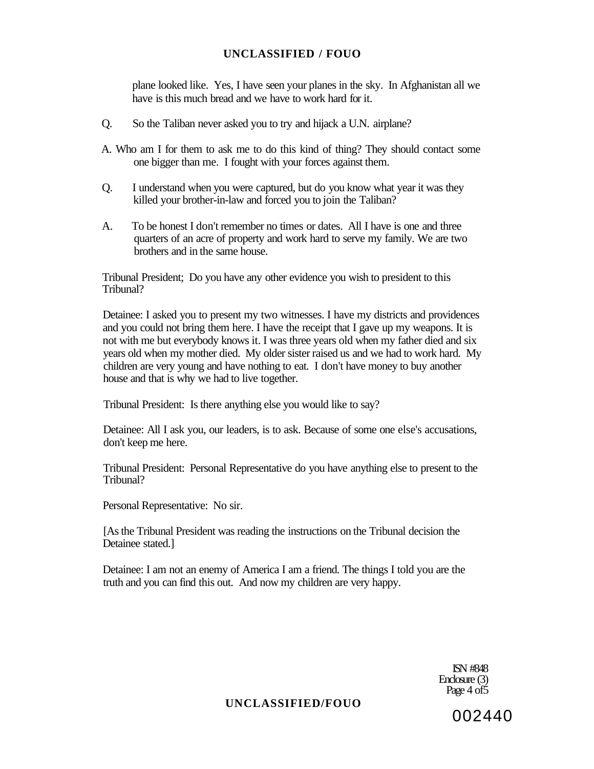plane looked like. Yes, I have seen your planes in the sky. In Afghanistan all we have is this much bread and we have to work hard for it.

- Q. So the Taliban never asked you to try and hijack a U.N. airplane?
- A. Who am I for them to ask me to do this kind of thing? They should contact some one bigger than me. I fought with your forces against them.
- Q. I understand when you were captured, but do you know what year it was they killed your brother-in-law and forced you to join the Taliban?
- A. To be honest I don't remember no times or dates. All I have is one and three quarters of an acre of property and work hard to serve my family. We are two brothers and in the same house.

Tribunal President; Do you have any other evidence you wish to president to this Tribunal?

Detainee: I asked you to present my two witnesses. I have my districts and providences and you could not bring them here. I have the receipt that I gave up my weapons. It is not with me but everybody knows it. I was three years old when my father died and six years old when my mother died. My older sister raised us and we had to work hard. My children are very young and have nothing to eat. I don't have money to buy another house and that is why we had to live together.

Tribunal President: Is there anything else you would like to say?

Detainee: All I ask you, our leaders, is to ask. Because of some one else's accusations, don't keep me here.

Tribunal President: Personal Representative do you have anything else to present to the Tribunal?

Personal Representative: No sir.

[As the Tribunal President was reading the instructions on the Tribunal decision the Detainee stated.]

Detainee: I am not an enemy of America I am a friend. The things I told you are the truth and you can find this out. And now my children are very happy.

> ISN #848 Enclosure (3) Page 4 of 5

# **UNCLASSIFIED/FOUO**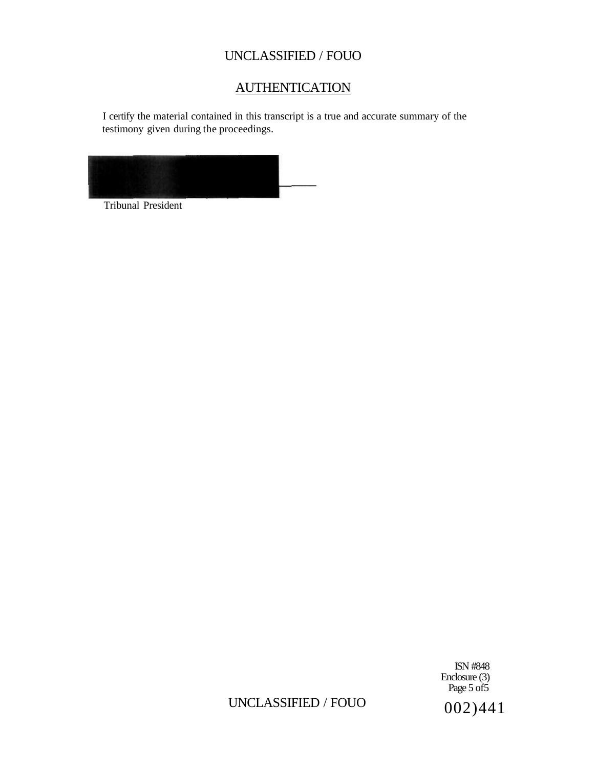# **AUTHENTICATION**

I certify the material contained in this transcript is a true and accurate summary of the testimony given during the proceedings.



Tribunal President

ISN #848 Enclosure (3) Page 5 of 5

# UNCLASSIFIED / FOUO  $002)441$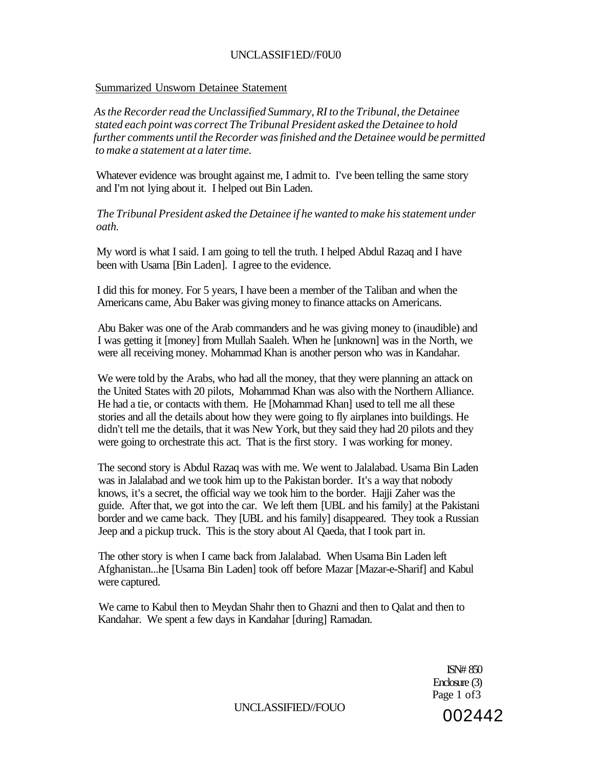## UNCLASSIF1ED//F0U0

#### Summarized Unsworn Detainee Statement

*As the Recorder read the Unclassified Summary, RI to the Tribunal, the Detainee stated each point was correct The Tribunal President asked the Detainee to hold further comments until the Recorder was finished and the Detainee would be permitted to make a statement at a later time.* 

Whatever evidence was brought against me, I admit to. I've been telling the same story and I'm not lying about it. I helped out Bin Laden.

*The Tribunal President asked the Detainee if he wanted to make his statement under oath.* 

My word is what I said. I am going to tell the truth. I helped Abdul Razaq and I have been with Usama [Bin Laden]. I agree to the evidence.

I did this for money. For 5 years, I have been a member of the Taliban and when the Americans came, Abu Baker was giving money to finance attacks on Americans.

Abu Baker was one of the Arab commanders and he was giving money to (inaudible) and I was getting it [money] from Mullah Saaleh. When he [unknown] was in the North, we were all receiving money. Mohammad Khan is another person who was in Kandahar.

We were told by the Arabs, who had all the money, that they were planning an attack on the United States with 20 pilots, Mohammad Khan was also with the Northern Alliance. He had a tie, or contacts with them. He [Mohammad Khan] used to tell me all these stories and all the details about how they were going to fly airplanes into buildings. He didn't tell me the details, that it was New York, but they said they had 20 pilots and they were going to orchestrate this act. That is the first story. I was working for money.

The second story is Abdul Razaq was with me. We went to Jalalabad. Usama Bin Laden was in Jalalabad and we took him up to the Pakistan border. It's a way that nobody knows, it's a secret, the official way we took him to the border. Hajji Zaher was the guide. After that, we got into the car. We left them [UBL and his family] at the Pakistani border and we came back. They [UBL and his family] disappeared. They took a Russian Jeep and a pickup truck. This is the story about Al Qaeda, that I took part in.

The other story is when I came back from Jalalabad. When Usama Bin Laden left Afghanistan...he [Usama Bin Laden] took off before Mazar [Mazar-e-Sharif] and Kabul were captured.

We came to Kabul then to Meydan Shahr then to Ghazni and then to Qalat and then to Kandahar. We spent a few days in Kandahar [during] Ramadan.

> ISN# 850 Enclosure (3) Page 1 of 3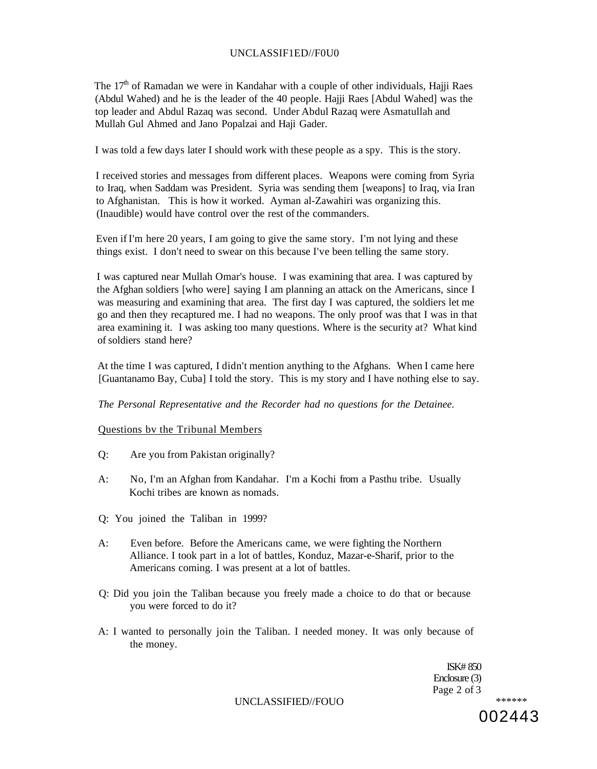#### UNCLASSIF1ED//F0U0

The 17<sup>th</sup> of Ramadan we were in Kandahar with a couple of other individuals, Hajji Raes (Abdul Wahed) and he is the leader of the 40 people. Hajji Raes [Abdul Wahed] was the top leader and Abdul Razaq was second. Under Abdul Razaq were Asmatullah and Mullah Gul Ahmed and Jano Popalzai and Haji Gader.

I was told a few days later I should work with these people as a spy. This is the story.

I received stories and messages from different places. Weapons were coming from Syria to Iraq, when Saddam was President. Syria was sending them [weapons] to Iraq, via Iran to Afghanistan. This is how it worked. Ayman al-Zawahiri was organizing this. (Inaudible) would have control over the rest of the commanders.

Even if I'm here 20 years, I am going to give the same story. I'm not lying and these things exist. I don't need to swear on this because I've been telling the same story.

I was captured near Mullah Omar's house. I was examining that area. I was captured by the Afghan soldiers [who were] saying I am planning an attack on the Americans, since I was measuring and examining that area. The first day I was captured, the soldiers let me go and then they recaptured me. I had no weapons. The only proof was that I was in that area examining it. I was asking too many questions. Where is the security at? What kind of soldiers stand here?

At the time I was captured, I didn't mention anything to the Afghans. When I came here [Guantanamo Bay, Cuba] I told the story. This is my story and I have nothing else to say.

*The Personal Representative and the Recorder had no questions for the Detainee.* 

#### Questions bv the Tribunal Members

- Q: Are you from Pakistan originally?
- A: No, I'm an Afghan from Kandahar. I'm a Kochi from a Pasthu tribe. Usually Kochi tribes are known as nomads.
- Q: You joined the Taliban in 1999?
- A: Even before. Before the Americans came, we were fighting the Northern Alliance. I took part in a lot of battles, Konduz, Mazar-e-Sharif, prior to the Americans coming. I was present at a lot of battles.
- Q: Did you join the Taliban because you freely made a choice to do that or because you were forced to do it?
- A: I wanted to personally join the Taliban. I needed money. It was only because of the money.

ISK# 850 Enclosure (3) Page 2 of 3

UNCLASSIFIED//FOUO *\*\*\*\*\*\**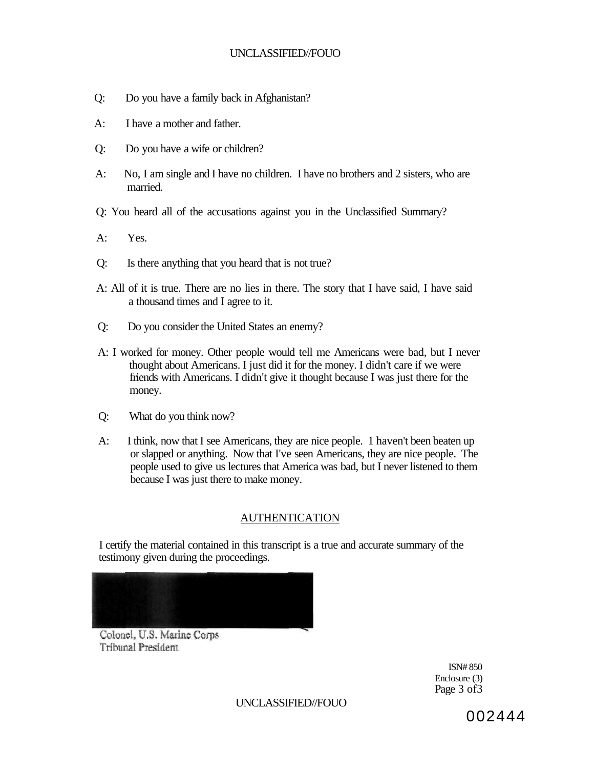- Q: Do you have a family back in Afghanistan?
- A: I have a mother and father.
- Q: Do you have a wife or children?
- A: No, I am single and I have no children. I have no brothers and 2 sisters, who are married.
- Q: You heard all of the accusations against you in the Unclassified Summary?
- A: Yes.
- Q: Is there anything that you heard that is not true?
- A: All of it is true. There are no lies in there. The story that I have said, I have said a thousand times and I agree to it.
- Q: Do you consider the United States an enemy?
- A: I worked for money. Other people would tell me Americans were bad, but I never thought about Americans. I just did it for the money. I didn't care if we were friends with Americans. I didn't give it thought because I was just there for the money.
- Q: What do you think now?
- A: I think, now that I see Americans, they are nice people. 1 haven't been beaten up or slapped or anything. Now that I've seen Americans, they are nice people. The people used to give us lectures that America was bad, but I never listened to them because I was just there to make money.

# AUTHENTICATION

I certify the material contained in this transcript is a true and accurate summary of the testimony given during the proceedings.



Colonel, U.S. Marine Corps **Tribunal President** 

ISN# 850 Enclosure (3) Page 3 of3

UNCLASSIFIED//FOUO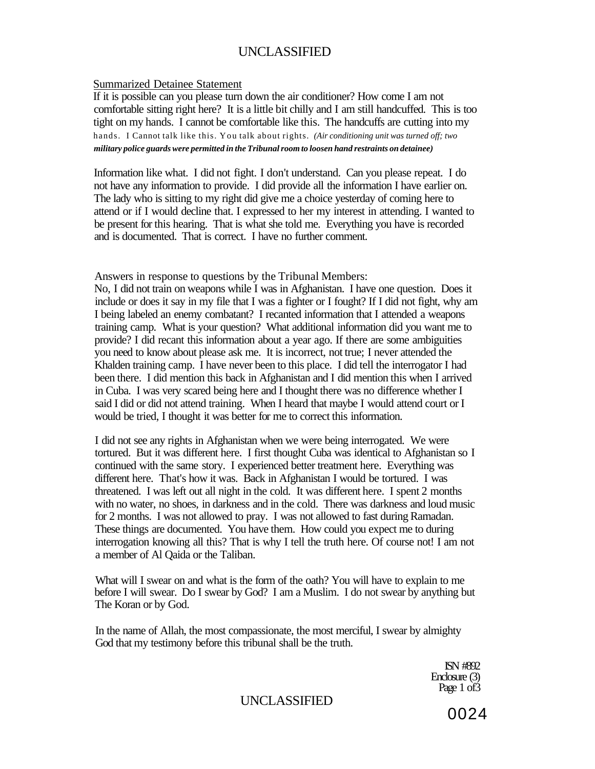#### Summarized Detainee Statement

If it is possible can you please turn down the air conditioner? How come I am not comfortable sitting right here? It is a little bit chilly and I am still handcuffed. This is too tight on my hands. I cannot be comfortable like this. The handcuffs are cutting into my hands. I Cannot talk like this. You talk about rights. *(Air conditioning unit was turned off; two military police guards were permitted in the Tribunal room to loosen hand restraints on detainee)* 

Information like what. I did not fight. I don't understand. Can you please repeat. I do not have any information to provide. I did provide all the information I have earlier on. The lady who is sitting to my right did give me a choice yesterday of coming here to attend or if I would decline that. I expressed to her my interest in attending. I wanted to be present for this hearing. That is what she told me. Everything you have is recorded and is documented. That is correct. I have no further comment.

Answers in response to questions by the Tribunal Members:

No, I did not train on weapons while I was in Afghanistan. I have one question. Does it include or does it say in my file that I was a fighter or I fought? If I did not fight, why am I being labeled an enemy combatant? I recanted information that I attended a weapons training camp. What is your question? What additional information did you want me to provide? I did recant this information about a year ago. If there are some ambiguities you need to know about please ask me. It is incorrect, not true; I never attended the Khalden training camp. I have never been to this place. I did tell the interrogator I had been there. I did mention this back in Afghanistan and I did mention this when I arrived in Cuba. I was very scared being here and I thought there was no difference whether I said I did or did not attend training. When I heard that maybe I would attend court or I would be tried, I thought it was better for me to correct this information.

I did not see any rights in Afghanistan when we were being interrogated. We were tortured. But it was different here. I first thought Cuba was identical to Afghanistan so I continued with the same story. I experienced better treatment here. Everything was different here. That's how it was. Back in Afghanistan I would be tortured. I was threatened. I was left out all night in the cold. It was different here. I spent 2 months with no water, no shoes, in darkness and in the cold. There was darkness and loud music for 2 months. I was not allowed to pray. I was not allowed to fast during Ramadan. These things are documented. You have them. How could you expect me to during interrogation knowing all this? That is why I tell the truth here. Of course not! I am not a member of Al Qaida or the Taliban.

What will I swear on and what is the form of the oath? You will have to explain to me before I will swear. Do I swear by God? I am a Muslim. I do not swear by anything but The Koran or by God.

In the name of Allah, the most compassionate, the most merciful, I swear by almighty God that my testimony before this tribunal shall be the truth.

> ISN #892 Enclosure (3) Page 1 of 3

UNCLASSIFIED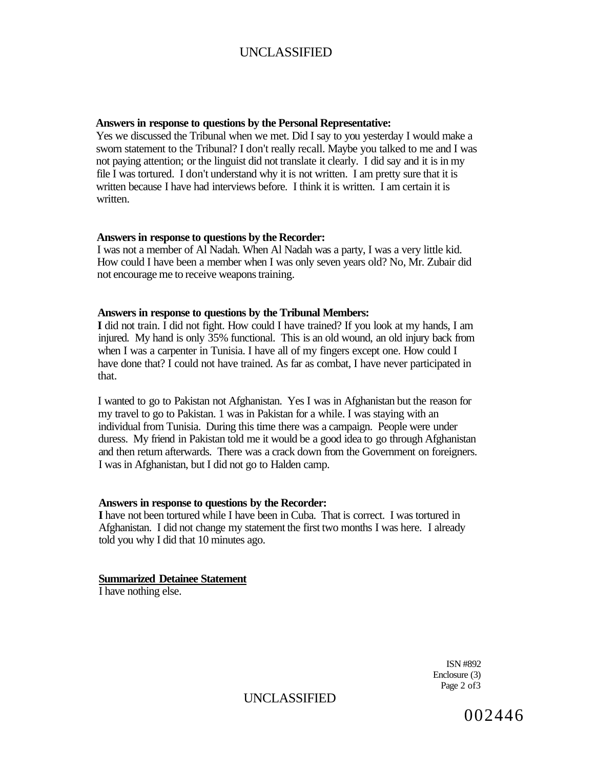#### **Answers in response to questions by the Personal Representative:**

Yes we discussed the Tribunal when we met. Did I say to you yesterday I would make a sworn statement to the Tribunal? I don't really recall. Maybe you talked to me and I was not paying attention; or the linguist did not translate it clearly. I did say and it is in my file I was tortured. I don't understand why it is not written. I am pretty sure that it is written because I have had interviews before. I think it is written. I am certain it is written.

#### **Answers in response to questions by the Recorder:**

I was not a member of Al Nadah. When Al Nadah was a party, I was a very little kid. How could I have been a member when I was only seven years old? No, Mr. Zubair did not encourage me to receive weapons training.

#### **Answers in response to questions by the Tribunal Members:**

**I** did not train. I did not fight. How could I have trained? If you look at my hands, I am injured. My hand is only 35% functional. This is an old wound, an old injury back from when I was a carpenter in Tunisia. I have all of my fingers except one. How could I have done that? I could not have trained. As far as combat, I have never participated in that.

I wanted to go to Pakistan not Afghanistan. Yes I was in Afghanistan but the reason for my travel to go to Pakistan. 1 was in Pakistan for a while. I was staying with an individual from Tunisia. During this time there was a campaign. People were under duress. My friend in Pakistan told me it would be a good idea to go through Afghanistan and then return afterwards. There was a crack down from the Government on foreigners. I was in Afghanistan, but I did not go to Halden camp.

#### **Answers in response to questions by the Recorder:**

**I** have not been tortured while I have been in Cuba. That is correct. I was tortured in Afghanistan. I did not change my statement the first two months I was here. I already told you why I did that 10 minutes ago.

#### **Summarized Detainee Statement**

I have nothing else.

ISN #892 Enclosure (3) Page 2 of 3

UNCLASSIFIED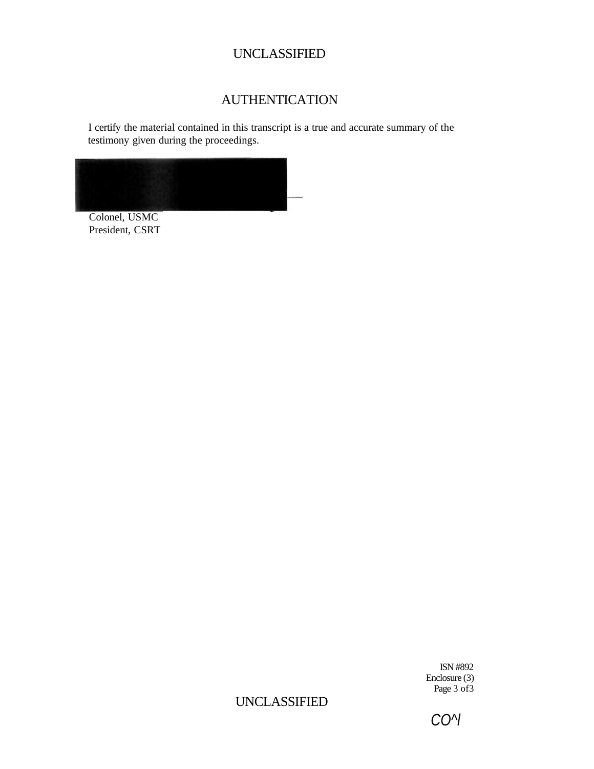# AUTHENTICATION

I certify the material contained in this transcript is a true and accurate summary of the testimony given during the proceedings.



Colonel, USMC President, CSRT

> ISN #892 Enclosure (3) Page 3 of 3

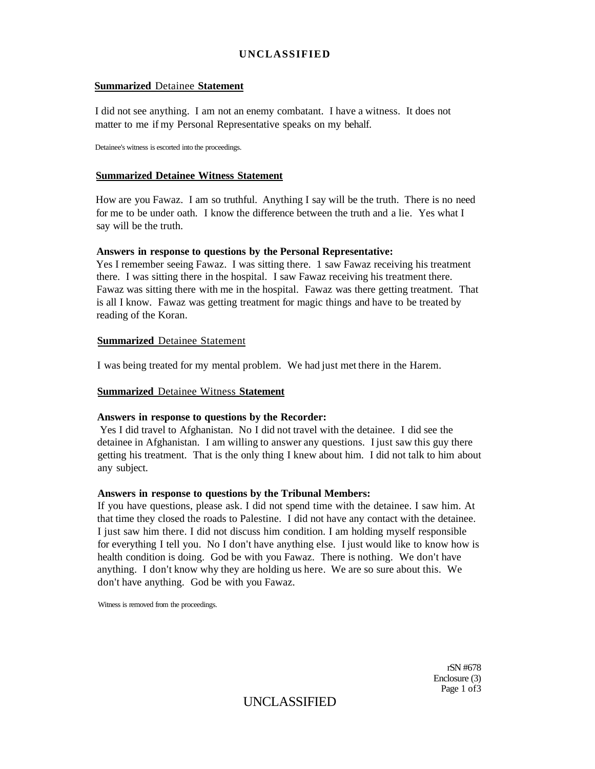#### **Summarized** Detainee **Statement**

I did not see anything. I am not an enemy combatant. I have a witness. It does not matter to me if my Personal Representative speaks on my behalf.

Detainee's witness is escorted into the proceedings.

## **Summarized Detainee Witness Statement**

How are you Fawaz. I am so truthful. Anything I say will be the truth. There is no need for me to be under oath. I know the difference between the truth and a lie. Yes what I say will be the truth.

#### **Answers in response to questions by the Personal Representative:**

Yes I remember seeing Fawaz. I was sitting there. 1 saw Fawaz receiving his treatment there. I was sitting there in the hospital. I saw Fawaz receiving his treatment there. Fawaz was sitting there with me in the hospital. Fawaz was there getting treatment. That is all I know. Fawaz was getting treatment for magic things and have to be treated by reading of the Koran.

#### **Summarized** Detainee Statement

I was being treated for my mental problem. We had just met there in the Harem.

#### **Summarized** Detainee Witness **Statement**

#### **Answers in response to questions by the Recorder:**

Yes I did travel to Afghanistan. No I did not travel with the detainee. I did see the detainee in Afghanistan. I am willing to answer any questions. I just saw this guy there getting his treatment. That is the only thing I knew about him. I did not talk to him about any subject.

#### **Answers in response to questions by the Tribunal Members:**

If you have questions, please ask. I did not spend time with the detainee. I saw him. At that time they closed the roads to Palestine. I did not have any contact with the detainee. I just saw him there. I did not discuss him condition. I am holding myself responsible for everything I tell you. No I don't have anything else. I just would like to know how is health condition is doing. God be with you Fawaz. There is nothing. We don't have anything. I don't know why they are holding us here. We are so sure about this. We don't have anything. God be with you Fawaz.

Witness is removed from the proceedings.

rSN #678 Enclosure (3) Page 1 of 3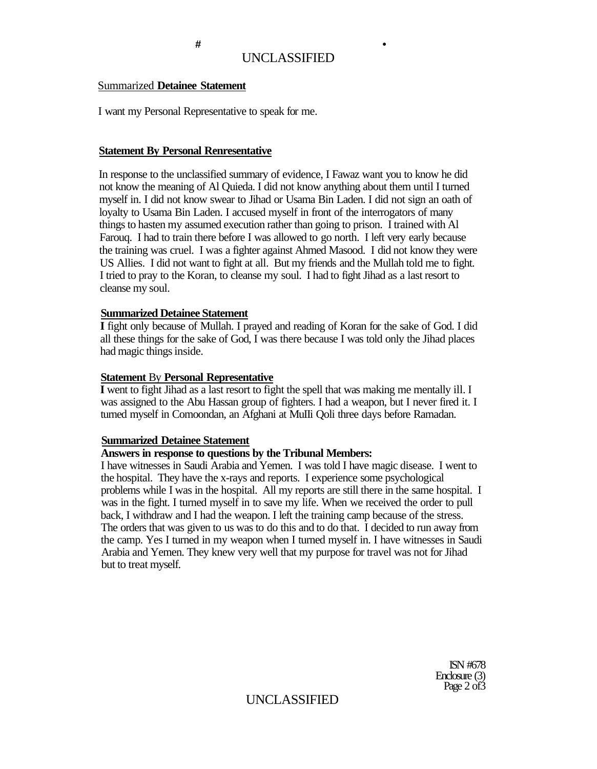## Summarized **Detainee Statement**

I want my Personal Representative to speak for me.

## **Statement By Personal Renresentative**

In response to the unclassified summary of evidence, I Fawaz want you to know he did not know the meaning of Al Quieda. I did not know anything about them until I turned myself in. I did not know swear to Jihad or Usama Bin Laden. I did not sign an oath of loyalty to Usama Bin Laden. I accused myself in front of the interrogators of many things to hasten my assumed execution rather than going to prison. I trained with Al Farouq. I had to train there before I was allowed to go north. I left very early because the training was cruel. I was a fighter against Ahmed Masood. I did not know they were US Allies. I did not want to fight at all. But my friends and the Mullah told me to fight. I tried to pray to the Koran, to cleanse my soul. I had to fight Jihad as a last resort to cleanse my soul.

#### **Summarized Detainee Statement**

**I** fight only because of Mullah. I prayed and reading of Koran for the sake of God. I did all these things for the sake of God, I was there because I was told only the Jihad places had magic things inside.

#### **Statement** By **Personal Representative**

**I** went to fight Jihad as a last resort to fight the spell that was making me mentally ill. I was assigned to the Abu Hassan group of fighters. I had a weapon, but I never fired it. I turned myself in Comoondan, an Afghani at MuIIi Qoli three days before Ramadan.

#### **Summarized Detainee Statement**

# **Answers in response to questions by the Tribunal Members:**

I have witnesses in Saudi Arabia and Yemen. I was told I have magic disease. I went to the hospital. They have the x-rays and reports. I experience some psychological problems while I was in the hospital. All my reports are still there in the same hospital. I was in the fight. I turned myself in to save my life. When we received the order to pull back, I withdraw and I had the weapon. I left the training camp because of the stress. The orders that was given to us was to do this and to do that. I decided to run away from the camp. Yes I turned in my weapon when I turned myself in. I have witnesses in Saudi Arabia and Yemen. They knew very well that my purpose for travel was not for Jihad but to treat myself.

> ISN #678 Enclosure (3) Page 2 of 3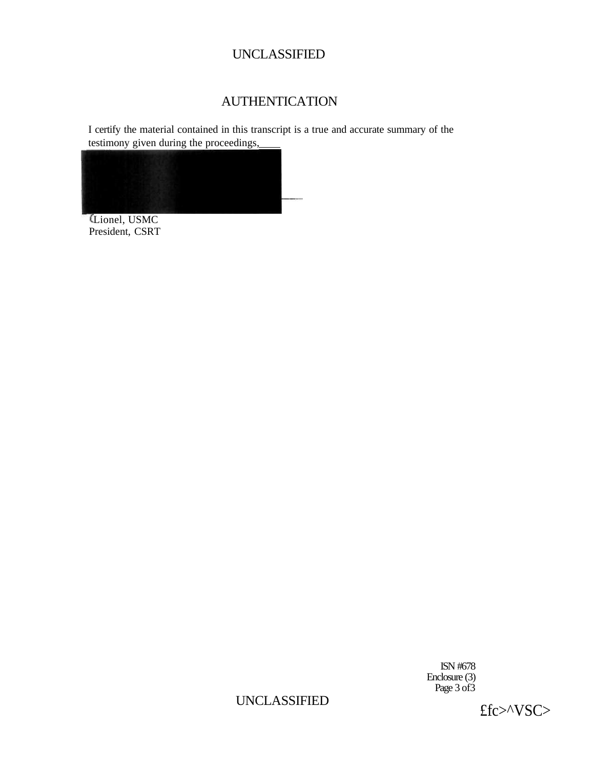# AUTHENTICATION

I certify the material contained in this transcript is a true and accurate summary of the testimony given during the proceedings,



Lionel, USMC President, CSRT

> ISN #678 Enclosure (3) Page 3 of 3

£fc>^VSC>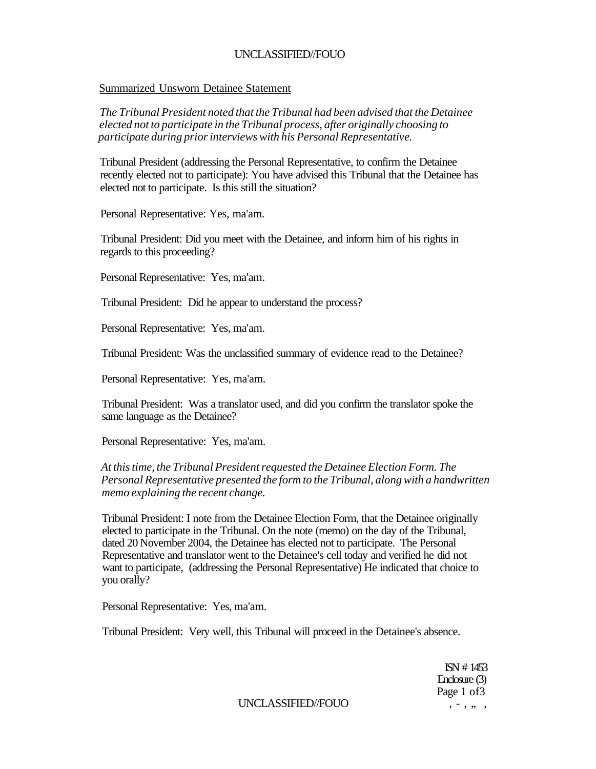#### Summarized Unsworn Detainee Statement

*The Tribunal President noted that the Tribunal had been advised that the Detainee elected not to participate in the Tribunal process, after originally choosing to participate during prior interviews with his Personal Representative.* 

Tribunal President (addressing the Personal Representative, to confirm the Detainee recently elected not to participate): You have advised this Tribunal that the Detainee has elected not to participate. Is this still the situation?

Personal Representative: Yes, ma'am.

Tribunal President: Did you meet with the Detainee, and inform him of his rights in regards to this proceeding?

Personal Representative: Yes, ma'am.

Tribunal President: Did he appear to understand the process?

Personal Representative: Yes, ma'am.

Tribunal President: Was the unclassified summary of evidence read to the Detainee?

Personal Representative: Yes, ma'am.

Tribunal President: Was a translator used, and did you confirm the translator spoke the same language as the Detainee?

Personal Representative: Yes, ma'am.

# *At this time, the Tribunal President requested the Detainee Election Form. The Personal Representative presented the form to the Tribunal, along with a handwritten memo explaining the recent change.*

Tribunal President: I note from the Detainee Election Form, that the Detainee originally elected to participate in the Tribunal. On the note (memo) on the day of the Tribunal, dated 20 November 2004, the Detainee has elected not to participate. The Personal Representative and translator went to the Detainee's cell today and verified he did not want to participate, (addressing the Personal Representative) He indicated that choice to you orally?

Personal Representative: Yes, ma'am.

Tribunal President: Very well, this Tribunal will proceed in the Detainee's absence.

ISN # 1453 Enclosure (3) Page 1 of 3

 $UNCLASSIFIED/FOUO$ ,  $-, , , ,$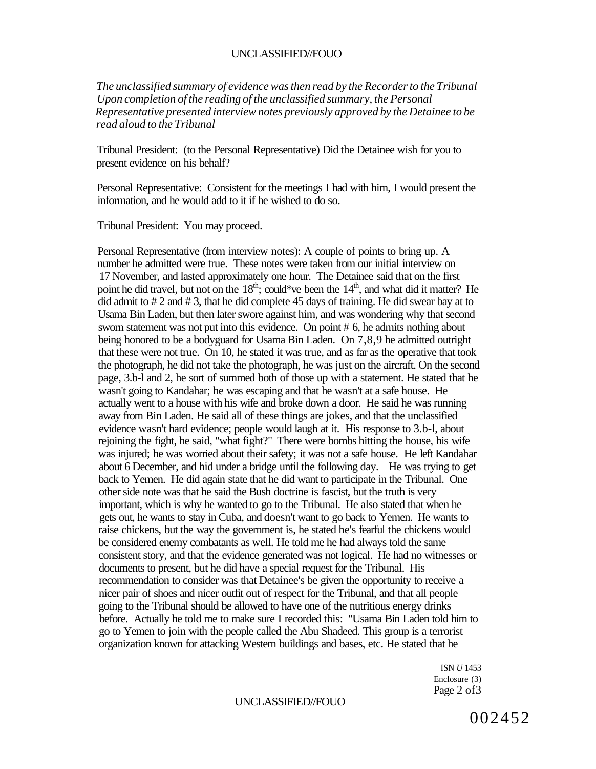*The unclassified summary of evidence was then read by the Recorder to the Tribunal Upon completion of the reading of the unclassified summary, the Personal Representative presented interview notes previously approved by the Detainee to be read aloud to the Tribunal* 

Tribunal President: (to the Personal Representative) Did the Detainee wish for you to present evidence on his behalf?

Personal Representative: Consistent for the meetings I had with him, I would present the information, and he would add to it if he wished to do so.

Tribunal President: You may proceed.

Personal Representative (from interview notes): A couple of points to bring up. A number he admitted were true. These notes were taken from our initial interview on 17 November, and lasted approximately one hour. The Detainee said that on the first point he did travel, but not on the  $18<sup>th</sup>$ ; could\*ve been the  $14<sup>th</sup>$ , and what did it matter? He did admit to  $\# 2$  and  $\# 3$ , that he did complete 45 days of training. He did swear bay at to Usama Bin Laden, but then later swore against him, and was wondering why that second sworn statement was not put into this evidence. On point # 6, he admits nothing about being honored to be a bodyguard for Usama Bin Laden. On 7,8,9 he admitted outright that these were not true. On 10, he stated it was true, and as far as the operative that took the photograph, he did not take the photograph, he was just on the aircraft. On the second page, 3.b-l and 2, he sort of summed both of those up with a statement. He stated that he wasn't going to Kandahar; he was escaping and that he wasn't at a safe house. He actually went to a house with his wife and broke down a door. He said he was running away from Bin Laden. He said all of these things are jokes, and that the unclassified evidence wasn't hard evidence; people would laugh at it. His response to 3.b-l, about rejoining the fight, he said, "what fight?" There were bombs hitting the house, his wife was injured; he was worried about their safety; it was not a safe house. He left Kandahar about 6 December, and hid under a bridge until the following day. He was trying to get back to Yemen. He did again state that he did want to participate in the Tribunal. One other side note was that he said the Bush doctrine is fascist, but the truth is very important, which is why he wanted to go to the Tribunal. He also stated that when he gets out, he wants to stay in Cuba, and doesn't want to go back to Yemen. He wants to raise chickens, but the way the government is, he stated he's fearful the chickens would be considered enemy combatants as well. He told me he had always told the same consistent story, and that the evidence generated was not logical. He had no witnesses or documents to present, but he did have a special request for the Tribunal. His recommendation to consider was that Detainee's be given the opportunity to receive a nicer pair of shoes and nicer outfit out of respect for the Tribunal, and that all people going to the Tribunal should be allowed to have one of the nutritious energy drinks before. Actually he told me to make sure I recorded this: "Usama Bin Laden told him to go to Yemen to join with the people called the Abu Shadeed. This group is a terrorist organization known for attacking Western buildings and bases, etc. He stated that he

> ISN *U* 1453 Enclosure (3) Page 2 of 3

## UNCLASSIFIED//FOUO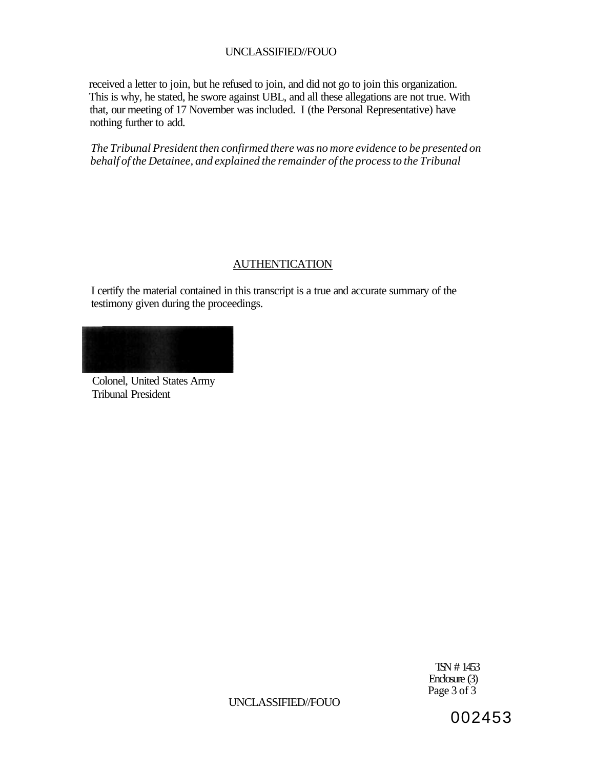received a letter to join, but he refused to join, and did not go to join this organization. This is why, he stated, he swore against UBL, and all these allegations are not true. With that, our meeting of 17 November was included. I (the Personal Representative) have nothing further to add.

*The Tribunal President then confirmed there was no more evidence to be presented on behalf of the Detainee, and explained the remainder of the process to the Tribunal* 

# AUTHENTICATION

I certify the material contained in this transcript is a true and accurate summary of the testimony given during the proceedings.

Colonel, United States Army Tribunal President

> TSN # 1453 Enclosure (3) Page 3 of 3

UNCLASSIFIED//FOUO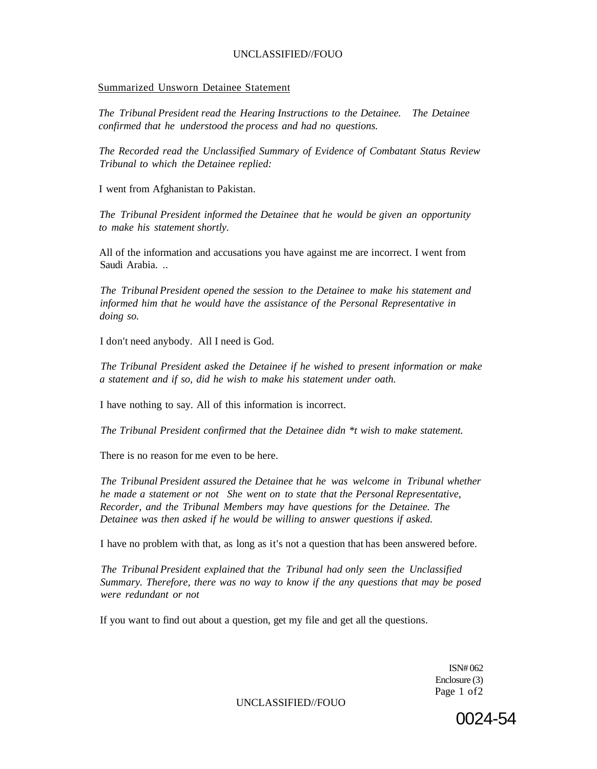#### Summarized Unsworn Detainee Statement

*The Tribunal President read the Hearing Instructions to the Detainee. The Detainee confirmed that he understood the process and had no questions.* 

*The Recorded read the Unclassified Summary of Evidence of Combatant Status Review Tribunal to which the Detainee replied:* 

I went from Afghanistan to Pakistan.

*The Tribunal President informed the Detainee that he would be given an opportunity to make his statement shortly.* 

All of the information and accusations you have against me are incorrect. I went from Saudi Arabia. ..

*The Tribunal President opened the session to the Detainee to make his statement and informed him that he would have the assistance of the Personal Representative in doing so.* 

I don't need anybody. All I need is God.

*The Tribunal President asked the Detainee if he wished to present information or make a statement and if so, did he wish to make his statement under oath.* 

I have nothing to say. All of this information is incorrect.

*The Tribunal President confirmed that the Detainee didn \*t wish to make statement.* 

There is no reason for me even to be here.

*The Tribunal President assured the Detainee that he was welcome in Tribunal whether he made a statement or not She went on to state that the Personal Representative, Recorder, and the Tribunal Members may have questions for the Detainee. The Detainee was then asked if he would be willing to answer questions if asked.* 

I have no problem with that, as long as it's not a question that has been answered before.

*The Tribunal President explained that the Tribunal had only seen the Unclassified Summary. Therefore, there was no way to know if the any questions that may be posed were redundant or not* 

If you want to find out about a question, get my file and get all the questions.

ISN# 062 Enclosure (3) Page 1 of2

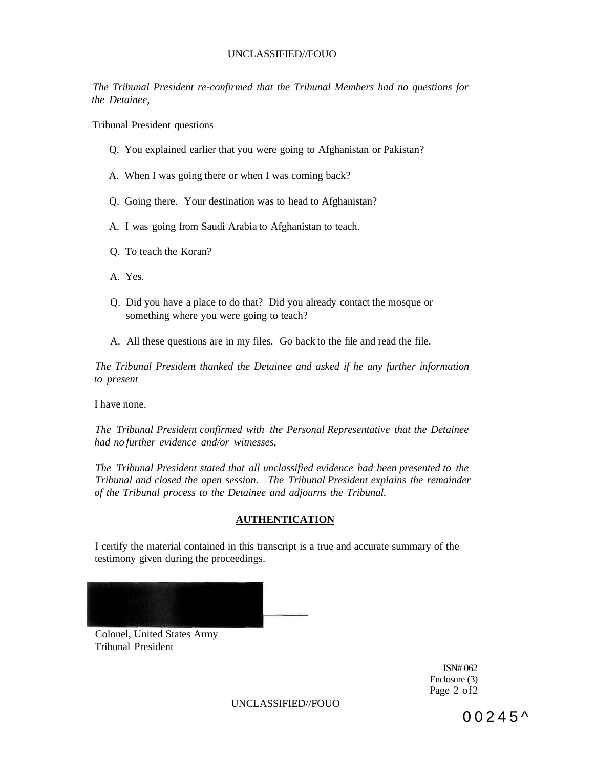*The Tribunal President re-confirmed that the Tribunal Members had no questions for the Detainee,* 

Tribunal President questions

- Q. You explained earlier that you were going to Afghanistan or Pakistan?
- A. When I was going there or when I was coming back?
- Q. Going there. Your destination was to head to Afghanistan?
- A. I was going from Saudi Arabia to Afghanistan to teach.
- Q. To teach the Koran?
- A. Yes.
- Q. Did you have a place to do that? Did you already contact the mosque or something where you were going to teach?
- A. All these questions are in my files. Go back to the file and read the file.

*The Tribunal President thanked the Detainee and asked if he any further information to present* 

I have none.

*The Tribunal President confirmed with the Personal Representative that the Detainee had no further evidence and/or witnesses,* 

*The Tribunal President stated that all unclassified evidence had been presented to the Tribunal and closed the open session. The Tribunal President explains the remainder of the Tribunal process to the Detainee and adjourns the Tribunal.* 

#### **AUTHENTICATION**

I certify the material contained in this transcript is a true and accurate summary of the testimony given during the proceedings.



Colonel, United States Army Tribunal President

> ISN# 062 Enclosure (3) Page 2 of 2

UNCLASSIFIED//FOUO

 $00245^{\circ}$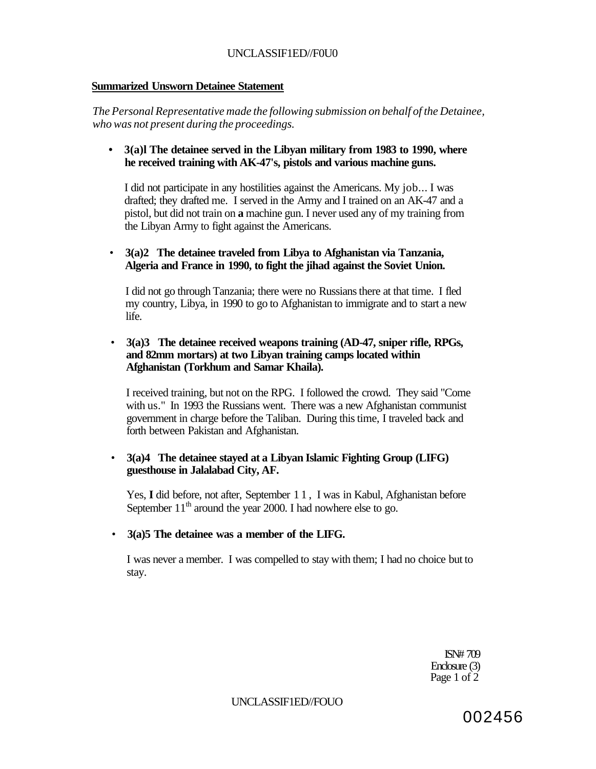# UNCLASSIF1ED//F0U0

## **Summarized Unsworn Detainee Statement**

*The Personal Representative made the following submission on behalf of the Detainee, who was not present during the proceedings.* 

*•* **3(a)l The detainee served in the Libyan military from 1983 to 1990, where he received training with AK-47's, pistols and various machine guns.** 

I did not participate in any hostilities against the Americans. My job... I was drafted; they drafted me. I served in the Army and I trained on an AK-47 and a pistol, but did not train on **a** machine gun. I never used any of my training from the Libyan Army to fight against the Americans.

• **3(a)2 The detainee traveled from Libya to Afghanistan via Tanzania, Algeria and France in 1990, to fight the jihad against the Soviet Union.** 

I did not go through Tanzania; there were no Russians there at that time. I fled my country, Libya, in 1990 to go to Afghanistan to immigrate and to start a new life.

• **3(a)3 The detainee received weapons training (AD-47, sniper rifle, RPGs, and 82mm mortars) at two Libyan training camps located within Afghanistan (Torkhum and Samar Khaila).** 

I received training, but not on the RPG. I followed the crowd. They said "Come with us." In 1993 the Russians went. There was a new Afghanistan communist government in charge before the Taliban. During this time, I traveled back and forth between Pakistan and Afghanistan.

# • **3(a)4 The detainee stayed at a Libyan Islamic Fighting Group (LIFG) guesthouse in Jalalabad City, AF.**

Yes, I did before, not after, September 11, I was in Kabul, Afghanistan before September  $11<sup>th</sup>$  around the year 2000. I had nowhere else to go.

# • **3(a)5 The detainee was a member of the LIFG.**

I was never a member. I was compelled to stay with them; I had no choice but to stay.

> ISN# 709 Enclosure (3) Page 1 of 2

UNCLASSIF1ED//FOUO